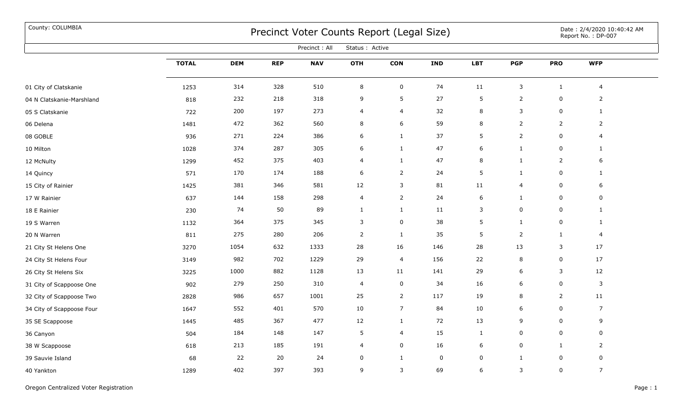## County: COLUMBIA Date : 2/4/2020 10:40:42 AM

| Precinct: All<br>Status : Active |              |            |            |            |                |                |             |            |                |                |                |  |
|----------------------------------|--------------|------------|------------|------------|----------------|----------------|-------------|------------|----------------|----------------|----------------|--|
|                                  | <b>TOTAL</b> | <b>DEM</b> | <b>REP</b> | <b>NAV</b> | OTH            | <b>CON</b>     | <b>IND</b>  | <b>LBT</b> | <b>PGP</b>     | <b>PRO</b>     | <b>WFP</b>     |  |
| 01 City of Clatskanie            | 1253         | 314        | 328        | 510        | $\bf 8$        | $\pmb{0}$      | 74          | $11\,$     | $\mathsf{3}$   | $\mathbf{1}$   | $\overline{4}$ |  |
| 04 N Clatskanie-Marshland        | 818          | 232        | 218        | 318        | 9              | 5              | 27          | 5          | $\mathbf{2}$   | $\mathbf 0$    | $\overline{2}$ |  |
| 05 S Clatskanie                  | 722          | 200        | 197        | 273        | 4              | $\overline{4}$ | 32          | 8          | $\mathsf{3}$   | $\mathsf 0$    | $\mathbf{1}$   |  |
| 06 Delena                        | 1481         | 472        | 362        | 560        | 8              | 6              | 59          | $\,8\,$    | $\overline{2}$ | $\overline{2}$ | $\overline{2}$ |  |
| 08 GOBLE                         | 936          | 271        | 224        | 386        | 6              | $\mathbf{1}$   | 37          | 5          | $\overline{2}$ | $\mathbf 0$    | 4              |  |
| 10 Milton                        | 1028         | 374        | 287        | 305        | 6              | $\mathbf{1}$   | 47          | 6          | $\mathbf{1}$   | $\mathsf 0$    | $\mathbf{1}$   |  |
| 12 McNulty                       | 1299         | 452        | 375        | 403        | 4              | $\mathbf{1}$   | 47          | 8          | $\mathbf{1}$   | $\overline{2}$ | 6              |  |
| 14 Quincy                        | 571          | 170        | 174        | 188        | 6              | $\overline{2}$ | 24          | 5          | $\mathbf{1}$   | $\mathbf 0$    | $\mathbf{1}$   |  |
| 15 City of Rainier               | 1425         | 381        | 346        | 581        | 12             | 3              | 81          | $11\,$     | 4              | $\mathsf 0$    | 6              |  |
| 17 W Rainier                     | 637          | 144        | 158        | 298        | 4              | $\overline{2}$ | 24          | 6          | $\mathbf{1}$   | $\mathbf 0$    | $\mathbf 0$    |  |
| 18 E Rainier                     | 230          | 74         | 50         | 89         | $\mathbf{1}$   | $\mathbf{1}$   | 11          | 3          | 0              | $\mathsf 0$    | $\mathbf{1}$   |  |
| 19 S Warren                      | 1132         | 364        | 375        | 345        | 3              | $\mathbf 0$    | 38          | 5          | $\mathbf{1}$   | $\mathsf 0$    | $\mathbf{1}$   |  |
| 20 N Warren                      | 811          | 275        | 280        | 206        | $\overline{2}$ | $\mathbf{1}$   | 35          | 5          | $\overline{2}$ | $\mathbf{1}$   | 4              |  |
| 21 City St Helens One            | 3270         | 1054       | 632        | 1333       | 28             | 16             | 146         | 28         | 13             | 3              | 17             |  |
| 24 City St Helens Four           | 3149         | 982        | 702        | 1229       | 29             | $\overline{4}$ | 156         | 22         | 8              | $\mathbf 0$    | 17             |  |
| 26 City St Helens Six            | 3225         | 1000       | 882        | 1128       | 13             | 11             | 141         | 29         | 6              | 3              | 12             |  |
| 31 City of Scappoose One         | 902          | 279        | 250        | 310        | 4              | $\mathbf 0$    | 34          | 16         | 6              | $\mathsf 0$    | $\mathbf{3}$   |  |
| 32 City of Scappoose Two         | 2828         | 986        | 657        | 1001       | 25             | $\overline{2}$ | 117         | 19         | 8              | $\overline{2}$ | 11             |  |
| 34 City of Scappoose Four        | 1647         | 552        | 401        | 570        | 10             | $\overline{7}$ | 84          | 10         | 6              | $\mathsf 0$    | $\overline{7}$ |  |
| 35 SE Scappoose                  | 1445         | 485        | 367        | 477        | 12             | $\mathbf{1}$   | 72          | 13         | 9              | $\mathbf 0$    | 9              |  |
| 36 Canyon                        | 504          | 184        | 148        | 147        | 5              | $\overline{4}$ | 15          | 1          | 0              | 0              | $\mathbf 0$    |  |
| 38 W Scappoose                   | 618          | 213        | 185        | 191        | 4              | $\mathsf 0$    | 16          | 6          | 0              | $\mathbf{1}$   | $\overline{2}$ |  |
| 39 Sauvie Island                 | 68           | 22         | 20         | 24         | 0              | $\mathbf{1}$   | $\mathbf 0$ | 0          | $\mathbf{1}$   | $\mathbf 0$    | $\mathbf 0$    |  |
| 40 Yankton                       | 1289         | 402        | 397        | 393        | 9              | 3              | 69          | 6          | 3              | $\mathbf 0$    | $\overline{7}$ |  |